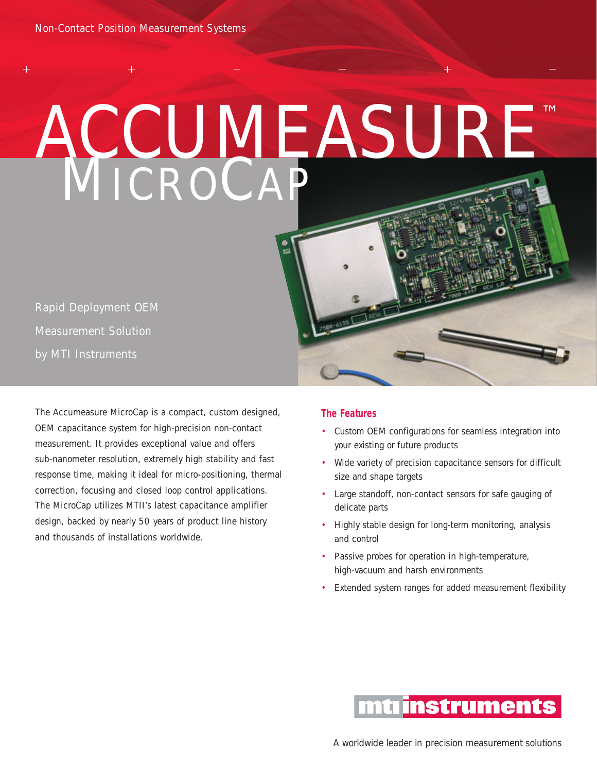# MICROCAP ACCUMEASURE™

.<br>1주

Rapid Deployment OEM Measurement Solution by MTI Instruments

The Accumeasure MicroCap is a compact, custom designed, OEM capacitance system for high-precision non-contact measurement. It provides exceptional value and offers sub-nanometer resolution, extremely high stability and fast response time, making it ideal for micro-positioning, thermal correction, focusing and closed loop control applications. The MicroCap utilizes MTII's latest capacitance amplifier design, backed by nearly 50 years of product line history and thousands of installations worldwide.

#### **The Features**

- Custom OEM configurations for seamless integration into your existing or future products
- Wide variety of precision capacitance sensors for difficult size and shape targets
- Large standoff, non-contact sensors for safe gauging of delicate parts
- Highly stable design for long-term monitoring, analysis and control
- Passive probes for operation in high-temperature, high-vacuum and harsh environments
- Extended system ranges for added measurement flexibility